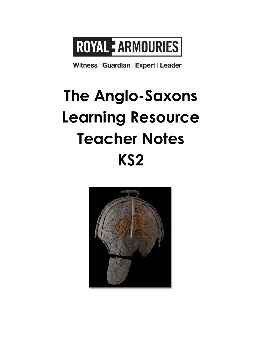# ROYAL EARMOURIES

Witness | Guardian | Expert | Leader

# **The Anglo-Saxons Learning Resource Teacher Notes KS2**

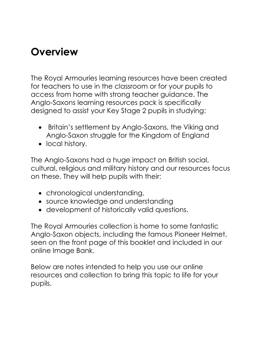## **Overview**

The Royal Armouries learning resources have been created for teachers to use in the classroom or for your pupils to access from home with strong teacher guidance. The Anglo-Saxons learning resources pack is specifically designed to assist your Key Stage 2 pupils in studying:

- Britain's settlement by Anglo-Saxons, the Viking and Anglo-Saxon struggle for the Kingdom of England
- local history.

The Anglo-Saxons had a huge impact on British social, cultural, religious and military history and our resources focus on these. They will help pupils with their:

- chronological understanding,
- source knowledge and understanding
- development of historically valid questions.

The Royal Armouries collection is home to some fantastic Anglo-Saxon objects, including the famous Pioneer Helmet, seen on the front page of this booklet and included in our online Image Bank.

Below are notes intended to help you use our online resources and collection to bring this topic to life for your pupils.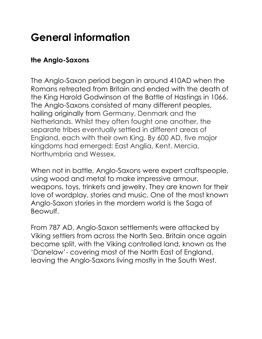## **General information**

### **the Anglo-Saxons**

The Anglo-Saxon period began in around 410AD when the Romans retreated from Britain and ended with the death of the King Harold Godwinson at the Battle of Hastings in 1066. The Anglo-Saxons consisted of many different peoples, hailing originally from Germany, Denmark and the Netherlands. Whilst they often fought one another, the separate tribes eventually settled in different areas of England, each with their own King. By 600 AD, five major kingdoms had emerged: East Anglia, Kent, Mercia, Northumbria and Wessex.

When not in battle, Anglo-Saxons were expert craftspeople, using wood and metal to make impressive armour, weapons, toys, trinkets and jewelry. They are known for their love of wordplay, stories and music. One of the most known Anglo-Saxon stories in the mordern world is the Saga of Beowulf.

From 787 AD, Anglo-Saxon settlements were attacked by Viking settlers from across the North Sea. Britain once again became split, with the Viking controlled land, known as the 'Danelaw'- covering most of the North East of England, leaving the Anglo-Saxons living mostly in the South West.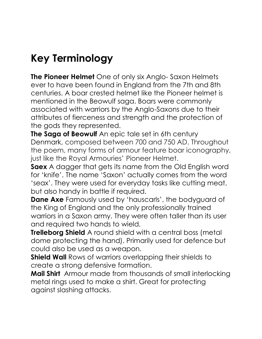# **Key Terminology**

**The Pioneer Helmet** One of only six Anglo- Saxon Helmets ever to have been found in England from the 7th and 8th centuries. A boar crested helmet like the Pioneer helmet is mentioned in the Beowulf saga. Boars were commonly associated with warriors by the Anglo-Saxons due to their attributes of fierceness and strength and the protection of the gods they represented.

**The Saga of Beowulf** An epic tale set in 6th century Denmark, composed between 700 and 750 AD. Throughout the poem, many forms of armour feature boar iconography, just like the Royal Armouries' Pioneer Helmet.

**Saex** A dagger that gets its name from the Old English word for 'knife'. The name 'Saxon' actually comes from the word 'seax'. They were used for everyday tasks like cutting meat, but also handy in battle if required.

**Dane Axe** Famously used by 'hauscarls', the bodyguard of the King of England and the only professionally trained warriors in a Saxon army. They were often taller than its user and required two hands to wield.

**Trelleborg Shield** A round shield with a central boss (metal dome protecting the hand). Primarily used for defence but could also be used as a weapon.

**Shield Wall** Rows of warriors overlapping their shields to create a strong defensive formation.

**Mail Shirt** Armour made from thousands of small interlocking metal rings used to make a shirt. Great for protecting against slashing attacks.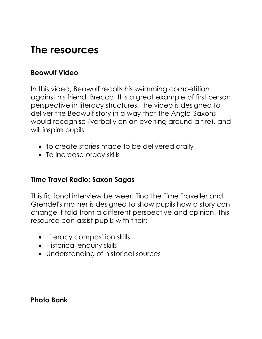### **The resources**

### **Beowulf Video**

In this video, Beowulf recalls his swimming competition against his friend, Brecca. It is a great example of first person perspective in literacy structures. The video is designed to deliver the Beowulf story in a way that the Anglo-Saxons would recognise (verbally on an evening around a fire), and will inspire pupils:

- to create stories made to be delivered orally
- To increase oracy skills

### **Time Travel Radio: Saxon Sagas**

This fictional interview between Tina the Time Traveller and Grendel's mother is designed to show pupils how a story can change if told from a different perspective and opinion. This resource can assist pupils with their:

- Literacy composition skills
- Historical enquiry skills
- Understanding of historical sources

### **Photo Bank**